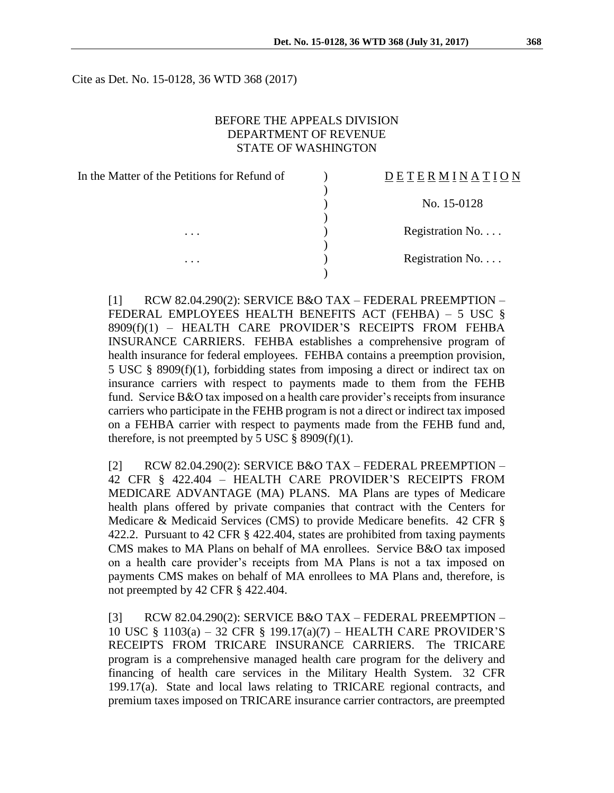Cite as Det. No. 15-0128, 36 WTD 368 (2017)

## BEFORE THE APPEALS DIVISION DEPARTMENT OF REVENUE STATE OF WASHINGTON

| In the Matter of the Petitions for Refund of | <b>DETERMINATION</b> |
|----------------------------------------------|----------------------|
|                                              |                      |
|                                              | No. 15-0128          |
| .<br>$\cdots$                                | Registration No.     |
|                                              |                      |
|                                              | Registration No.     |

[1] RCW 82.04.290(2): SERVICE B&O TAX – FEDERAL PREEMPTION – FEDERAL EMPLOYEES HEALTH BENEFITS ACT (FEHBA) – 5 USC § 8909(f)(1) – HEALTH CARE PROVIDER'S RECEIPTS FROM FEHBA INSURANCE CARRIERS. FEHBA establishes a comprehensive program of health insurance for federal employees. FEHBA contains a preemption provision, 5 USC § 8909(f)(1), forbidding states from imposing a direct or indirect tax on insurance carriers with respect to payments made to them from the FEHB fund. Service B&O tax imposed on a health care provider's receipts from insurance carriers who participate in the FEHB program is not a direct or indirect tax imposed on a FEHBA carrier with respect to payments made from the FEHB fund and, therefore, is not preempted by 5 USC  $\S$  8909(f)(1).

 $[2]$  RCW 82.04.290(2): SERVICE B&O TAX – FEDERAL PREEMPTION – 42 CFR § 422.404 – HEALTH CARE PROVIDER'S RECEIPTS FROM MEDICARE ADVANTAGE (MA) PLANS*.* MA Plans are types of Medicare health plans offered by private companies that contract with the Centers for Medicare & Medicaid Services (CMS) to provide Medicare benefits. 42 CFR § 422.2. Pursuant to 42 CFR § 422.404, states are prohibited from taxing payments CMS makes to MA Plans on behalf of MA enrollees. Service B&O tax imposed on a health care provider's receipts from MA Plans is not a tax imposed on payments CMS makes on behalf of MA enrollees to MA Plans and, therefore, is not preempted by 42 CFR § 422.404.

[3] RCW 82.04.290(2): SERVICE B&O TAX – FEDERAL PREEMPTION – 10 USC § 1103(a) – 32 CFR § 199.17(a)(7) – HEALTH CARE PROVIDER'S RECEIPTS FROM TRICARE INSURANCE CARRIERS*.* The TRICARE program is a comprehensive managed health care program for the delivery and financing of health care services in the Military Health System. 32 CFR 199.17(a). State and local laws relating to TRICARE regional contracts, and premium taxes imposed on TRICARE insurance carrier contractors, are preempted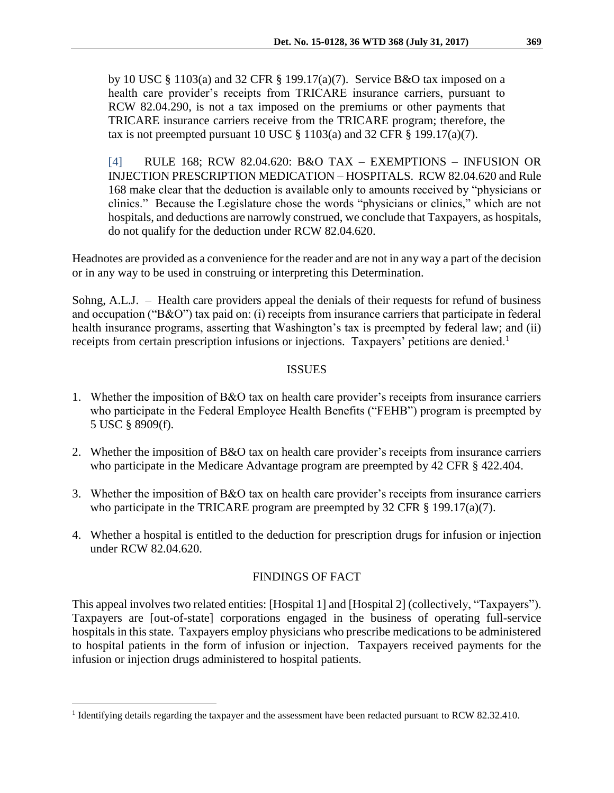by 10 USC § 1103(a) and 32 CFR § 199.17(a)(7). Service B&O tax imposed on a health care provider's receipts from TRICARE insurance carriers, pursuant to RCW 82.04.290, is not a tax imposed on the premiums or other payments that TRICARE insurance carriers receive from the TRICARE program; therefore, the tax is not preempted pursuant 10 USC  $\S$  1103(a) and 32 CFR  $\S$  199.17(a)(7).

[4] RULE 168; RCW 82.04.620: B&O TAX – EXEMPTIONS – INFUSION OR INJECTION PRESCRIPTION MEDICATION – HOSPITALS. RCW 82.04.620 and Rule 168 make clear that the deduction is available only to amounts received by "physicians or clinics." Because the Legislature chose the words "physicians or clinics," which are not hospitals, and deductions are narrowly construed, we conclude that Taxpayers, as hospitals, do not qualify for the deduction under RCW 82.04.620.

Headnotes are provided as a convenience for the reader and are not in any way a part of the decision or in any way to be used in construing or interpreting this Determination.

Sohng, A.L.J. – Health care providers appeal the denials of their requests for refund of business and occupation ("B&O") tax paid on: (i) receipts from insurance carriers that participate in federal health insurance programs, asserting that Washington's tax is preempted by federal law; and (ii) receipts from certain prescription infusions or injections. Taxpayers' petitions are denied.<sup>1</sup>

## ISSUES

- 1. Whether the imposition of B&O tax on health care provider's receipts from insurance carriers who participate in the Federal Employee Health Benefits ("FEHB") program is preempted by 5 USC § 8909(f).
- 2. Whether the imposition of B&O tax on health care provider's receipts from insurance carriers who participate in the Medicare Advantage program are preempted by 42 CFR § 422.404.
- 3. Whether the imposition of B&O tax on health care provider's receipts from insurance carriers who participate in the TRICARE program are preempted by 32 CFR § 199.17(a)(7).
- 4. Whether a hospital is entitled to the deduction for prescription drugs for infusion or injection under RCW 82.04.620.

# FINDINGS OF FACT

This appeal involves two related entities: [Hospital 1] and [Hospital 2] (collectively, "Taxpayers"). Taxpayers are [out-of-state] corporations engaged in the business of operating full-service hospitals in this state. Taxpayers employ physicians who prescribe medications to be administered to hospital patients in the form of infusion or injection. Taxpayers received payments for the infusion or injection drugs administered to hospital patients.

 $\overline{a}$ 

<sup>&</sup>lt;sup>1</sup> Identifying details regarding the taxpayer and the assessment have been redacted pursuant to RCW 82.32.410.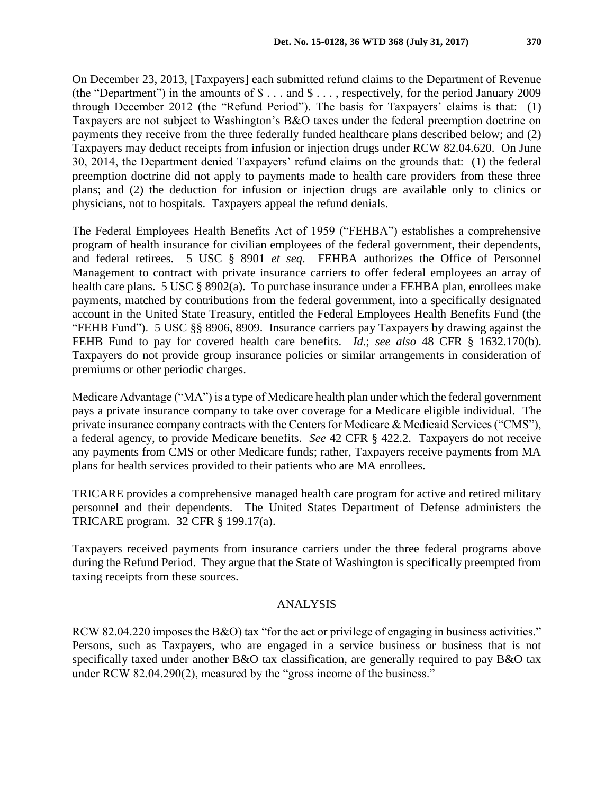On December 23, 2013, [Taxpayers] each submitted refund claims to the Department of Revenue (the "Department") in the amounts of \$ . . . and \$ . . . , respectively, for the period January 2009 through December 2012 (the "Refund Period"). The basis for Taxpayers' claims is that: (1) Taxpayers are not subject to Washington's B&O taxes under the federal preemption doctrine on payments they receive from the three federally funded healthcare plans described below; and (2) Taxpayers may deduct receipts from infusion or injection drugs under RCW 82.04.620. On June 30, 2014, the Department denied Taxpayers' refund claims on the grounds that: (1) the federal preemption doctrine did not apply to payments made to health care providers from these three plans; and (2) the deduction for infusion or injection drugs are available only to clinics or physicians, not to hospitals. Taxpayers appeal the refund denials.

The Federal Employees Health Benefits Act of 1959 ("FEHBA") establishes a comprehensive program of health insurance for civilian employees of the federal government, their dependents, and federal retirees. 5 USC § 8901 *et seq*. FEHBA authorizes the Office of Personnel Management to contract with private insurance carriers to offer federal employees an array of health care plans. 5 USC § 8902(a). To purchase insurance under a FEHBA plan, enrollees make payments, matched by contributions from the federal government, into a specifically designated account in the United State Treasury, entitled the Federal Employees Health Benefits Fund (the "FEHB Fund"). 5 USC §§ 8906, 8909. Insurance carriers pay Taxpayers by drawing against the FEHB Fund to pay for covered health care benefits. *Id.*; *see also* 48 CFR § 1632.170(b). Taxpayers do not provide group insurance policies or similar arrangements in consideration of premiums or other periodic charges.

Medicare Advantage ("MA") is a type of Medicare health plan under which the federal government pays a private insurance company to take over coverage for a Medicare eligible individual. The private insurance company contracts with the Centers for Medicare & Medicaid Services ("CMS"), a federal agency, to provide Medicare benefits. *See* 42 CFR § 422.2. Taxpayers do not receive any payments from CMS or other Medicare funds; rather, Taxpayers receive payments from MA plans for health services provided to their patients who are MA enrollees.

TRICARE provides a comprehensive managed health care program for active and retired military personnel and their dependents. The United States Department of Defense administers the TRICARE program. 32 CFR § 199.17(a).

Taxpayers received payments from insurance carriers under the three federal programs above during the Refund Period. They argue that the State of Washington is specifically preempted from taxing receipts from these sources.

### ANALYSIS

RCW 82.04.220 imposes the B&O) tax "for the act or privilege of engaging in business activities." Persons, such as Taxpayers, who are engaged in a service business or business that is not specifically taxed under another B&O tax classification, are generally required to pay B&O tax under RCW 82.04.290(2), measured by the "gross income of the business."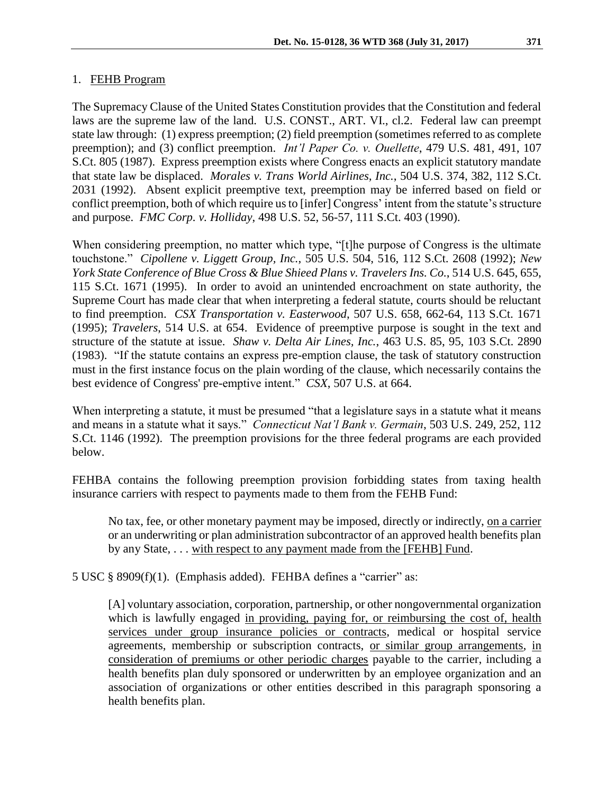## 1. FEHB Program

The Supremacy Clause of the United States Constitution provides that the Constitution and federal laws are the supreme law of the land. U.S. CONST., ART. VI., cl.2. Federal law can preempt state law through: (1) express preemption; (2) field preemption (sometimes referred to as complete preemption); and (3) conflict preemption. *Int'l Paper Co. v. Ouellette*, 479 U.S. 481, 491, 107 S.Ct. 805 (1987). Express preemption exists where Congress enacts an explicit statutory mandate that state law be displaced. *Morales v. Trans World Airlines, Inc.*, 504 U.S. 374, 382, 112 S.Ct. 2031 (1992). Absent explicit preemptive text, preemption may be inferred based on field or conflict preemption, both of which require us to [infer] Congress' intent from the statute's structure and purpose. *FMC Corp. v. Holliday*, 498 U.S. 52, 56-57, 111 S.Ct. 403 (1990).

When considering preemption, no matter which type, "[t]he purpose of Congress is the ultimate touchstone." *Cipollene v. Liggett Group, Inc.*, 505 U.S. 504, 516, 112 S.Ct. 2608 (1992); *New York State Conference of Blue Cross & Blue Shieed Plans v. Travelers Ins. Co.*, 514 U.S. 645, 655, 115 S.Ct. 1671 (1995). In order to avoid an unintended encroachment on state authority, the Supreme Court has made clear that when interpreting a federal statute, courts should be reluctant to find preemption. *CSX Transportation v. Easterwood*, 507 U.S. 658, 662-64, 113 S.Ct. 1671 (1995); *Travelers*, 514 U.S. at 654. Evidence of preemptive purpose is sought in the text and structure of the statute at issue. *Shaw v. Delta Air Lines, Inc.*, 463 U.S. 85, 95, 103 S.Ct. 2890 (1983). "If the statute contains an express pre-emption clause, the task of statutory construction must in the first instance focus on the plain wording of the clause, which necessarily contains the best evidence of Congress' pre-emptive intent." *CSX*, 507 U.S. at 664.

When interpreting a statute, it must be presumed "that a legislature says in a statute what it means and means in a statute what it says." *Connecticut Nat'l Bank v. Germain*, 503 U.S. 249, 252, 112 S.Ct. 1146 (1992). The preemption provisions for the three federal programs are each provided below.

FEHBA contains the following preemption provision forbidding states from taxing health insurance carriers with respect to payments made to them from the FEHB Fund:

No tax, fee, or other monetary payment may be imposed, directly or indirectly, on a carrier or an underwriting or plan administration subcontractor of an approved health benefits plan by any State, . . . with respect to any payment made from the [FEHB] Fund.

5 USC § 8909(f)(1). (Emphasis added). FEHBA defines a "carrier" as:

[A] voluntary association, corporation, partnership, or other nongovernmental organization which is lawfully engaged in providing, paying for, or reimbursing the cost of, health services under group insurance policies or contracts, medical or hospital service agreements, membership or subscription contracts, or similar group arrangements, in consideration of premiums or other periodic charges payable to the carrier, including a health benefits plan duly sponsored or underwritten by an employee organization and an association of organizations or other entities described in this paragraph sponsoring a health benefits plan.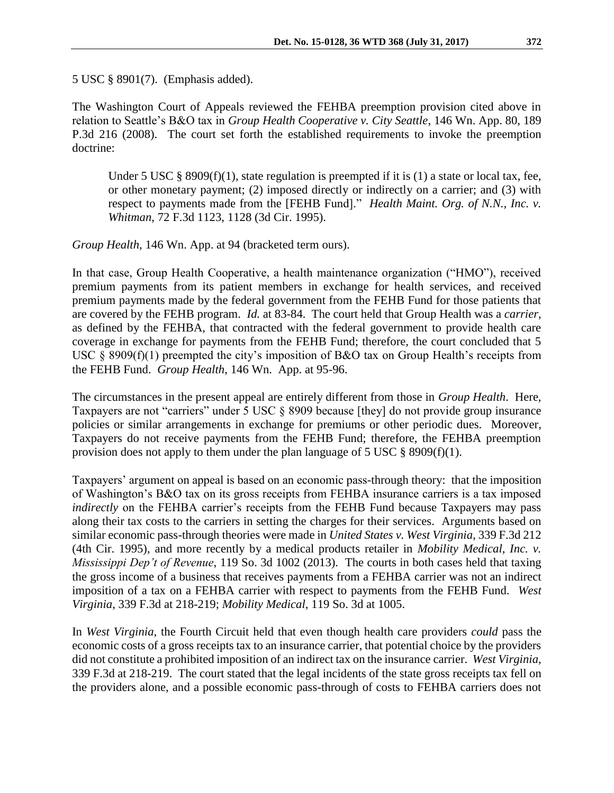5 USC § 8901(7). (Emphasis added).

The Washington Court of Appeals reviewed the FEHBA preemption provision cited above in relation to Seattle's B&O tax in *Group Health Cooperative v. City Seattle*, 146 Wn. App. 80, 189 P.3d 216 (2008). The court set forth the established requirements to invoke the preemption doctrine:

Under 5 USC  $\S$  8909(f)(1), state regulation is preempted if it is (1) a state or local tax, fee, or other monetary payment; (2) imposed directly or indirectly on a carrier; and (3) with respect to payments made from the [FEHB Fund]." *Health Maint. Org. of N.N., Inc. v. Whitman*, 72 F.3d 1123, 1128 (3d Cir. 1995).

*Group Health*, 146 Wn. App. at 94 (bracketed term ours).

In that case, Group Health Cooperative, a health maintenance organization ("HMO"), received premium payments from its patient members in exchange for health services, and received premium payments made by the federal government from the FEHB Fund for those patients that are covered by the FEHB program. *Id.* at 83-84. The court held that Group Health was a *carrier*, as defined by the FEHBA, that contracted with the federal government to provide health care coverage in exchange for payments from the FEHB Fund; therefore, the court concluded that 5 USC § 8909(f)(1) preempted the city's imposition of B&O tax on Group Health's receipts from the FEHB Fund. *Group Health*, 146 Wn. App. at 95-96.

The circumstances in the present appeal are entirely different from those in *Group Health*. Here, Taxpayers are not "carriers" under 5 USC § 8909 because [they] do not provide group insurance policies or similar arrangements in exchange for premiums or other periodic dues. Moreover, Taxpayers do not receive payments from the FEHB Fund; therefore, the FEHBA preemption provision does not apply to them under the plan language of 5 USC  $\S$  8909(f)(1).

Taxpayers' argument on appeal is based on an economic pass-through theory: that the imposition of Washington's B&O tax on its gross receipts from FEHBA insurance carriers is a tax imposed *indirectly* on the FEHBA carrier's receipts from the FEHB Fund because Taxpayers may pass along their tax costs to the carriers in setting the charges for their services. Arguments based on similar economic pass-through theories were made in *United States v. West Virginia*, 339 F.3d 212 (4th Cir. 1995), and more recently by a medical products retailer in *Mobility Medical, Inc. v. Mississippi Dep't of Revenue*, 119 So. 3d 1002 (2013). The courts in both cases held that taxing the gross income of a business that receives payments from a FEHBA carrier was not an indirect imposition of a tax on a FEHBA carrier with respect to payments from the FEHB Fund. *West Virginia*, 339 F.3d at 218-219; *Mobility Medical*, 119 So. 3d at 1005.

In *West Virginia*, the Fourth Circuit held that even though health care providers *could* pass the economic costs of a gross receipts tax to an insurance carrier, that potential choice by the providers did not constitute a prohibited imposition of an indirect tax on the insurance carrier. *West Virginia*, 339 F.3d at 218-219. The court stated that the legal incidents of the state gross receipts tax fell on the providers alone, and a possible economic pass-through of costs to FEHBA carriers does not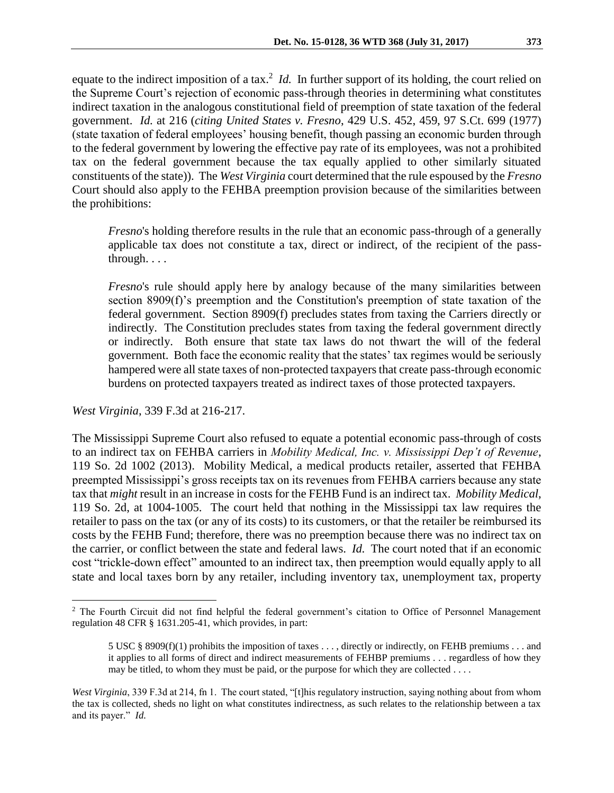equate to the indirect imposition of a tax.<sup>2</sup> *Id*. In further support of its holding, the court relied on the Supreme Court's rejection of economic pass-through theories in determining what constitutes indirect taxation in the analogous constitutional field of preemption of state taxation of the federal government. *Id.* at 216 (*citing United States v. Fresno*, 429 U.S. 452, 459, 97 S.Ct. 699 (1977) (state taxation of federal employees' housing benefit, though passing an economic burden through to the federal government by lowering the effective pay rate of its employees, was not a prohibited tax on the federal government because the tax equally applied to other similarly situated constituents of the state)). The *West Virginia* court determined that the rule espoused by the *Fresno* Court should also apply to the FEHBA preemption provision because of the similarities between the prohibitions:

*Fresno*'s holding therefore results in the rule that an economic pass-through of a generally applicable tax does not constitute a tax, direct or indirect, of the recipient of the passthrough. . . .

*Fresno*'s rule should apply here by analogy because of the many similarities between section 8909(f)'s preemption and the Constitution's preemption of state taxation of the federal government. Section 8909(f) precludes states from taxing the Carriers directly or indirectly. The Constitution precludes states from taxing the federal government directly or indirectly. Both ensure that state tax laws do not thwart the will of the federal government. Both face the economic reality that the states' tax regimes would be seriously hampered were all state taxes of non-protected taxpayers that create pass-through economic burdens on protected taxpayers treated as indirect taxes of those protected taxpayers.

*West Virginia*, 339 F.3d at 216-217.

 $\overline{a}$ 

The Mississippi Supreme Court also refused to equate a potential economic pass-through of costs to an indirect tax on FEHBA carriers in *Mobility Medical, Inc. v. Mississippi Dep't of Revenue*, 119 So. 2d 1002 (2013). Mobility Medical, a medical products retailer, asserted that FEHBA preempted Mississippi's gross receipts tax on its revenues from FEHBA carriers because any state tax that *might* result in an increase in costs for the FEHB Fund is an indirect tax. *Mobility Medical*, 119 So. 2d, at 1004-1005. The court held that nothing in the Mississippi tax law requires the retailer to pass on the tax (or any of its costs) to its customers, or that the retailer be reimbursed its costs by the FEHB Fund; therefore, there was no preemption because there was no indirect tax on the carrier, or conflict between the state and federal laws. *Id.* The court noted that if an economic cost "trickle-down effect" amounted to an indirect tax, then preemption would equally apply to all state and local taxes born by any retailer, including inventory tax, unemployment tax, property

<sup>&</sup>lt;sup>2</sup> The Fourth Circuit did not find helpful the federal government's citation to Office of Personnel Management regulation 48 CFR § 1631.205-41, which provides, in part:

<sup>5</sup> USC § 8909(f)(1) prohibits the imposition of taxes . . . , directly or indirectly, on FEHB premiums . . . and it applies to all forms of direct and indirect measurements of FEHBP premiums . . . regardless of how they may be titled, to whom they must be paid, or the purpose for which they are collected . . . .

*West Virginia*, 339 F.3d at 214, fn 1. The court stated, "[t]his regulatory instruction, saying nothing about from whom the tax is collected, sheds no light on what constitutes indirectness, as such relates to the relationship between a tax and its payer." *Id.*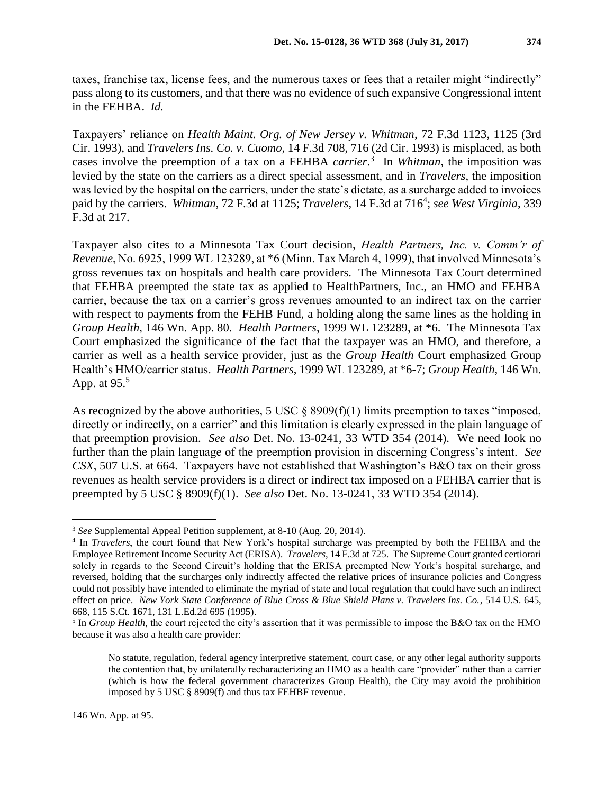taxes, franchise tax, license fees, and the numerous taxes or fees that a retailer might "indirectly" pass along to its customers, and that there was no evidence of such expansive Congressional intent in the FEHBA. *Id.*

Taxpayers' reliance on *Health Maint. Org. of New Jersey v. Whitman*, 72 F.3d 1123, 1125 (3rd Cir. 1993), and *Travelers Ins. Co. v. Cuomo*, 14 F.3d 708, 716 (2d Cir. 1993) is misplaced, as both cases involve the preemption of a tax on a FEHBA *carrier*. 3 In *Whitman*, the imposition was levied by the state on the carriers as a direct special assessment, and in *Travelers*, the imposition was levied by the hospital on the carriers, under the state's dictate, as a surcharge added to invoices paid by the carriers. Whitman, 72 F.3d at 1125; *Travelers*, 14 F.3d at 716<sup>4</sup>; see West Virginia, 339 F.3d at 217.

Taxpayer also cites to a Minnesota Tax Court decision, *Health Partners, Inc. v. Comm'r of Revenue*, No. 6925, 1999 WL 123289, at \*6 (Minn. Tax March 4, 1999), that involved Minnesota's gross revenues tax on hospitals and health care providers. The Minnesota Tax Court determined that FEHBA preempted the state tax as applied to HealthPartners, Inc., an HMO and FEHBA carrier, because the tax on a carrier's gross revenues amounted to an indirect tax on the carrier with respect to payments from the FEHB Fund, a holding along the same lines as the holding in *Group Health,* 146 Wn. App. 80. *Health Partners*, 1999 WL 123289, at \*6. The Minnesota Tax Court emphasized the significance of the fact that the taxpayer was an HMO, and therefore, a carrier as well as a health service provider, just as the *Group Health* Court emphasized Group Health's HMO/carrier status. *Health Partners*, 1999 WL 123289, at \*6-7; *Group Health,* 146 Wn. App. at  $95<sup>5</sup>$ 

As recognized by the above authorities, 5 USC  $\S$  8909(f)(1) limits preemption to taxes "imposed, directly or indirectly, on a carrier" and this limitation is clearly expressed in the plain language of that preemption provision. *See also* Det. No. 13-0241, 33 WTD 354 (2014). We need look no further than the plain language of the preemption provision in discerning Congress's intent. *See CSX*, 507 U.S. at 664. Taxpayers have not established that Washington's B&O tax on their gross revenues as health service providers is a direct or indirect tax imposed on a FEHBA carrier that is preempted by 5 USC § 8909(f)(1). *See also* Det. No. 13-0241, 33 WTD 354 (2014).

 $\overline{a}$ 

<sup>3</sup> *See* Supplemental Appeal Petition supplement, at 8-10 (Aug. 20, 2014).

<sup>&</sup>lt;sup>4</sup> In *Travelers*, the court found that New York's hospital surcharge was preempted by both the FEHBA and the Employee Retirement Income Security Act (ERISA). *Travelers*, 14 F.3d at 725. The Supreme Court granted certiorari solely in regards to the Second Circuit's holding that the ERISA preempted New York's hospital surcharge, and reversed, holding that the surcharges only indirectly affected the relative prices of insurance policies and Congress could not possibly have intended to eliminate the myriad of state and local regulation that could have such an indirect effect on price. *New York State Conference of Blue Cross & Blue Shield Plans v. Travelers Ins. Co.*, 514 U.S. 645, 668, 115 S.Ct. 1671, 131 L.Ed.2d 695 (1995).

<sup>&</sup>lt;sup>5</sup> In *Group Health*, the court rejected the city's assertion that it was permissible to impose the B&O tax on the HMO because it was also a health care provider:

No statute, regulation, federal agency interpretive statement, court case, or any other legal authority supports the contention that, by unilaterally recharacterizing an HMO as a health care "provider" rather than a carrier (which is how the federal government characterizes Group Health), the City may avoid the prohibition imposed by 5 USC § 8909(f) and thus tax FEHBF revenue.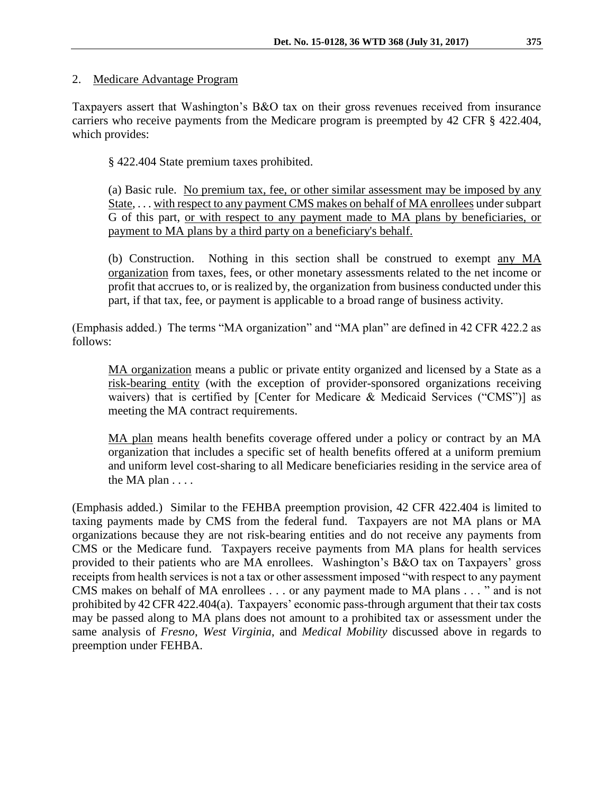### 2. Medicare Advantage Program

Taxpayers assert that Washington's B&O tax on their gross revenues received from insurance carriers who receive payments from the Medicare program is preempted by 42 CFR § 422.404, which provides:

§ 422.404 State premium taxes prohibited.

(a) Basic rule. No premium tax, fee, or other similar assessment may be imposed by any State, . . . with respect to any payment CMS makes on behalf of MA enrollees under subpart G of this part, or with respect to any payment made to MA plans by beneficiaries, or payment to MA plans by a third party on a beneficiary's behalf.

(b) Construction. Nothing in this section shall be construed to exempt any MA organization from taxes, fees, or other monetary assessments related to the net income or profit that accrues to, or is realized by, the organization from business conducted under this part, if that tax, fee, or payment is applicable to a broad range of business activity.

(Emphasis added.) The terms "MA organization" and "MA plan" are defined in 42 CFR 422.2 as follows:

MA organization means a public or private entity organized and licensed by a State as a risk-bearing entity (with the exception of provider-sponsored organizations receiving waivers) that is certified by [Center for Medicare & Medicaid Services ("CMS")] as meeting the MA contract requirements.

MA plan means health benefits coverage offered under a policy or contract by an MA organization that includes a specific set of health benefits offered at a uniform premium and uniform level cost-sharing to all Medicare beneficiaries residing in the service area of the MA plan . . . .

(Emphasis added.) Similar to the FEHBA preemption provision, 42 CFR 422.404 is limited to taxing payments made by CMS from the federal fund. Taxpayers are not MA plans or MA organizations because they are not risk-bearing entities and do not receive any payments from CMS or the Medicare fund. Taxpayers receive payments from MA plans for health services provided to their patients who are MA enrollees. Washington's B&O tax on Taxpayers' gross receipts from health services is not a tax or other assessment imposed "with respect to any payment CMS makes on behalf of MA enrollees . . . or any payment made to MA plans . . . " and is not prohibited by 42 CFR 422.404(a). Taxpayers' economic pass-through argument that their tax costs may be passed along to MA plans does not amount to a prohibited tax or assessment under the same analysis of *Fresno*, *West Virginia*, and *Medical Mobility* discussed above in regards to preemption under FEHBA.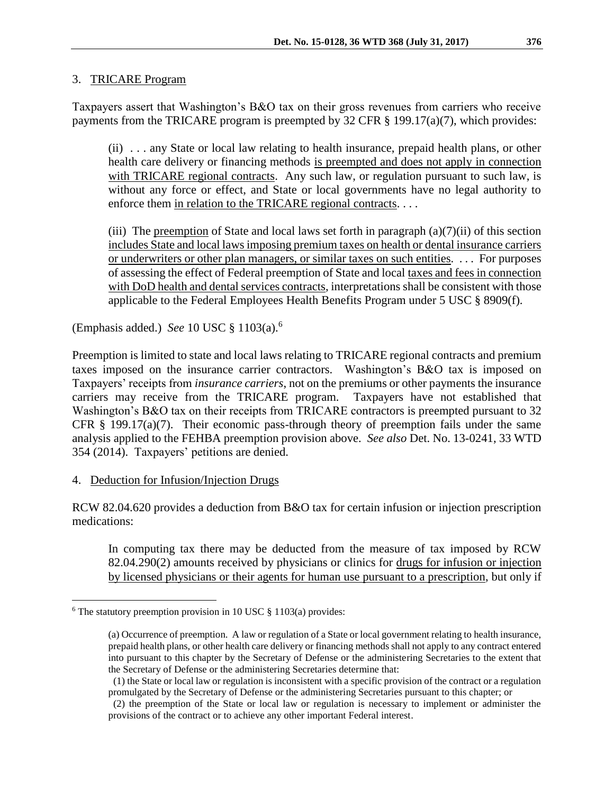### 3. TRICARE Program

Taxpayers assert that Washington's B&O tax on their gross revenues from carriers who receive payments from the TRICARE program is preempted by 32 CFR § 199.17(a)(7), which provides:

(ii) . . . any State or local law relating to health insurance, prepaid health plans, or other health care delivery or financing methods is preempted and does not apply in connection with TRICARE regional contracts. Any such law, or regulation pursuant to such law, is without any force or effect, and State or local governments have no legal authority to enforce them in relation to the TRICARE regional contracts....

(iii) The preemption of State and local laws set forth in paragraph  $(a)(7)(ii)$  of this section includes State and local laws imposing premium taxes on health or dental insurance carriers or underwriters or other plan managers, or similar taxes on such entities. . . . For purposes of assessing the effect of Federal preemption of State and local taxes and fees in connection with DoD health and dental services contracts, interpretations shall be consistent with those applicable to the Federal Employees Health Benefits Program under 5 USC § 8909(f).

(Emphasis added.) *See* 10 USC § 1103(a).<sup>6</sup>

Preemption is limited to state and local laws relating to TRICARE regional contracts and premium taxes imposed on the insurance carrier contractors. Washington's B&O tax is imposed on Taxpayers' receipts from *insurance carriers*, not on the premiums or other payments the insurance carriers may receive from the TRICARE program. Taxpayers have not established that Washington's B&O tax on their receipts from TRICARE contractors is preempted pursuant to 32 CFR  $\S$  199.17(a)(7). Their economic pass-through theory of preemption fails under the same analysis applied to the FEHBA preemption provision above. *See also* Det. No. 13-0241, 33 WTD 354 (2014). Taxpayers' petitions are denied.

### 4. Deduction for Infusion/Injection Drugs

 $\overline{a}$ 

RCW 82.04.620 provides a deduction from B&O tax for certain infusion or injection prescription medications:

In computing tax there may be deducted from the measure of tax imposed by RCW 82.04.290(2) amounts received by physicians or clinics for drugs for infusion or injection by licensed physicians or their agents for human use pursuant to a prescription, but only if

 $6$  The statutory preemption provision in 10 USC  $\S$  1103(a) provides:

<sup>(</sup>a) Occurrence of preemption. A law or regulation of a State or local government relating to health insurance, prepaid health plans, or other health care delivery or financing methods shall not apply to any contract entered into pursuant to this chapter by the Secretary of Defense or the administering Secretaries to the extent that the Secretary of Defense or the administering Secretaries determine that:

 <sup>(1)</sup> the State or local law or regulation is inconsistent with a specific provision of the contract or a regulation promulgated by the Secretary of Defense or the administering Secretaries pursuant to this chapter; or

 <sup>(2)</sup> the preemption of the State or local law or regulation is necessary to implement or administer the provisions of the contract or to achieve any other important Federal interest.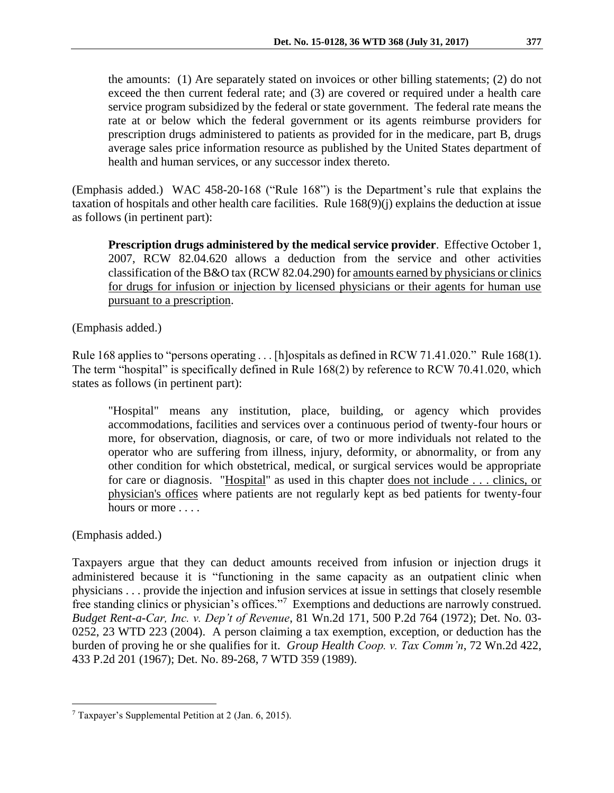the amounts: (1) Are separately stated on invoices or other billing statements; (2) do not exceed the then current federal rate; and (3) are covered or required under a health care service program subsidized by the federal or state government. The federal rate means the rate at or below which the federal government or its agents reimburse providers for prescription drugs administered to patients as provided for in the medicare, part B, drugs average sales price information resource as published by the United States department of health and human services, or any successor index thereto.

(Emphasis added.) WAC 458-20-168 ("Rule 168") is the Department's rule that explains the taxation of hospitals and other health care facilities. Rule 168(9)(j) explains the deduction at issue as follows (in pertinent part):

**Prescription drugs administered by the medical service provider**. Effective October 1, 2007, RCW [82.04.620](http://app.leg.wa.gov/RCW/default.aspx?cite=82.04.620) allows a deduction from the service and other activities classification of the B&O tax (RC[W 82.04.290\)](http://app.leg.wa.gov/RCW/default.aspx?cite=82.04.290) for amounts earned by physicians or clinics for drugs for infusion or injection by licensed physicians or their agents for human use pursuant to a prescription.

(Emphasis added.)

Rule 168 applies to "persons operating . . . [h]ospitals as defined in RCW 71.41.020." Rule 168(1). The term "hospital" is specifically defined in Rule 168(2) by reference to RCW 70.41.020, which states as follows (in pertinent part):

"Hospital" means any institution, place, building, or agency which provides accommodations, facilities and services over a continuous period of twenty-four hours or more, for observation, diagnosis, or care, of two or more individuals not related to the operator who are suffering from illness, injury, deformity, or abnormality, or from any other condition for which obstetrical, medical, or surgical services would be appropriate for care or diagnosis. "Hospital" as used in this chapter does not include . . . clinics, or physician's offices where patients are not regularly kept as bed patients for twenty-four hours or more . . . .

(Emphasis added.)

 $\overline{a}$ 

Taxpayers argue that they can deduct amounts received from infusion or injection drugs it administered because it is "functioning in the same capacity as an outpatient clinic when physicians . . . provide the injection and infusion services at issue in settings that closely resemble free standing clinics or physician's offices."<sup>7</sup> Exemptions and deductions are narrowly construed. *Budget Rent-a-Car, Inc. v. Dep't of Revenue*, 81 Wn.2d 171, 500 P.2d 764 (1972); Det. No. 03- 0252, 23 WTD 223 (2004). A person claiming a tax exemption, exception, or deduction has the burden of proving he or she qualifies for it. *Group Health Coop. v. Tax Comm'n*, 72 Wn.2d 422, 433 P.2d 201 (1967); Det. No. 89-268, 7 WTD 359 (1989).

<sup>7</sup> Taxpayer's Supplemental Petition at 2 (Jan. 6, 2015).